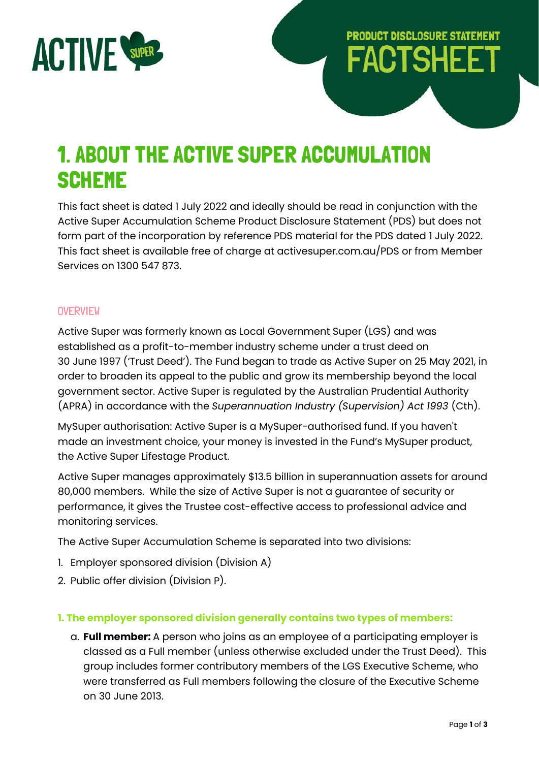

# **PRODUCT DISCLOSURE STATEMENT FACTSHEET**

## 1. ABOUT THE ACTIVE SUPER ACCUMULATION **SCHEME**

This fact sheet is dated 1 July 2022 and ideally should be read in conjunction with the Active Super Accumulation Scheme Product Disclosure Statement (PDS) but does not form part of the incorporation by reference PDS material for the PDS dated 1 July 2022. This fact sheet is available free of charge at activesuper.com.au/PDS or from Member Services on 1300 547 873.

#### **OVERVIEW**

Active Super was formerly known as Local Government Super (LGS) and was established as a profit-to-member industry scheme under a trust deed on 30 June 1997 ('Trust Deed'). The Fund began to trade as Active Super on 25 May 2021, in order to broaden its appeal to the public and grow its membership beyond the local government sector. Active Super is regulated by the Australian Prudential Authority (APRA) in accordance with the *Superannuation Industry (Supervision) Act 1993* (Cth).

MySuper authorisation: Active Super is a MySuper-authorised fund. If you haven't made an investment choice, your money is invested in the Fund's MySuper product, the Active Super Lifestage Product.

Active Super manages approximately \$13.5 billion in superannuation assets for around 80,000 members. While the size of Active Super is not a guarantee of security or performance, it gives the Trustee cost-effective access to professional advice and monitoring services.

The Active Super Accumulation Scheme is separated into two divisions:

- 1. Employer sponsored division (Division A)
- 2. Public offer division (Division P).

#### **1. The employer sponsored division generally contains two types of members:**

a. **Full member:** A person who joins as an employee of a participating employer is classed as a Full member (unless otherwise excluded under the Trust Deed). This group includes former contributory members of the LGS Executive Scheme, who were transferred as Full members following the closure of the Executive Scheme on 30 June 2013.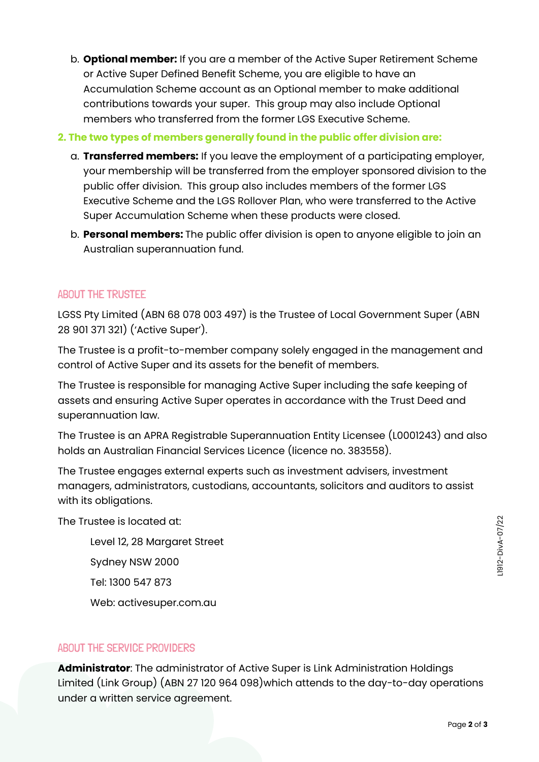- b. **Optional member:** If you are a member of the Active Super Retirement Scheme or Active Super Defined Benefit Scheme, you are eligible to have an Accumulation Scheme account as an Optional member to make additional contributions towards your super. This group may also include Optional members who transferred from the former LGS Executive Scheme.
- **2. The two types of members generally found in the public offer division are:**
	- a. **Transferred members:** If you leave the employment of a participating employer, your membership will be transferred from the employer sponsored division to the public offer division. This group also includes members of the former LGS Executive Scheme and the LGS Rollover Plan, who were transferred to the Active Super Accumulation Scheme when these products were closed.
	- b. **Personal members:** The public offer division is open to anyone eligible to join an Australian superannuation fund.

### ABOUT THE TRUSTEE

LGSS Pty Limited (ABN 68 078 003 497) is the Trustee of Local Government Super (ABN 28 901 371 321) ('Active Super').

The Trustee is a profit-to-member company solely engaged in the management and control of Active Super and its assets for the benefit of members.

The Trustee is responsible for managing Active Super including the safe keeping of assets and ensuring Active Super operates in accordance with the Trust Deed and superannuation law.

The Trustee is an APRA Registrable Superannuation Entity Licensee (L0001243) and also holds an Australian Financial Services Licence (licence no. 383558).

The Trustee engages external experts such as investment advisers, investment managers, administrators, custodians, accountants, solicitors and auditors to assist with its obligations.

The Trustee is located at:

Level 12, 28 Margaret Street Sydney NSW 2000 Tel: 1300 547 873 Web: activesuper.com.au

#### ABOUT THE SERVICE PROVIDERS

**Administrator**: The administrator of Active Super is Link Administration Holdings Limited (Link Group) (ABN 27 120 964 098)which attends to the day-to-day operations under a written service agreement.